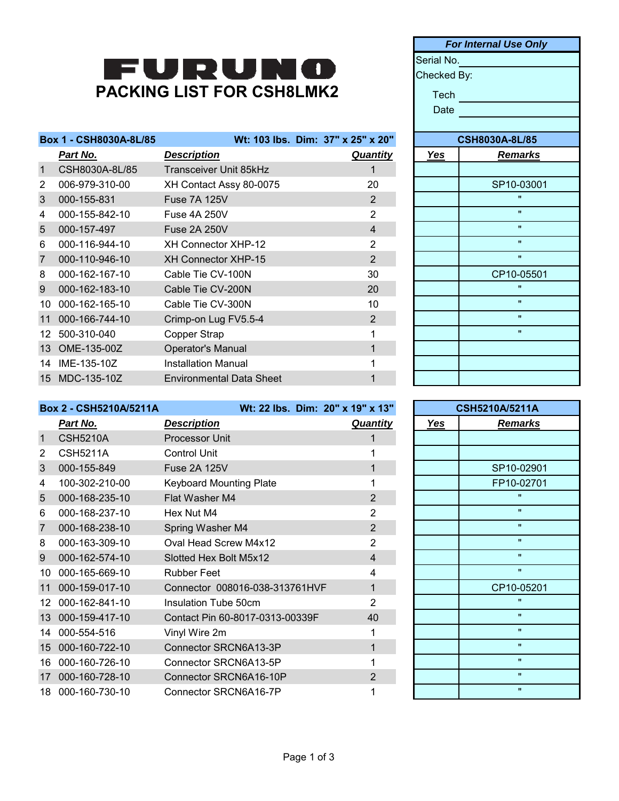## FURUNO **PACKING LIST FOR CSH8LMK2**

|                | Box 1 - CSH8030A-8L/85 |                                 | Wt: 103 lbs. Dim: 37" x 25" x 20" |            | <b>CSH8030A-8L/85</b> |
|----------------|------------------------|---------------------------------|-----------------------------------|------------|-----------------------|
|                | <u>Part No.</u>        | <b>Description</b>              | <b>Quantity</b>                   | <u>Yes</u> | <u>Remarks</u>        |
| $\mathbf{1}$   | CSH8030A-8L/85         | Transceiver Unit 85kHz          |                                   |            |                       |
| 2              | 006-979-310-00         | XH Contact Assy 80-0075         | 20                                |            | SP10-03001            |
| 3              | 000-155-831            | <b>Fuse 7A 125V</b>             | 2                                 |            | $\mathbf{u}$          |
| 4              | 000-155-842-10         | <b>Fuse 4A 250V</b>             | $\overline{2}$                    |            | $\mathbf{u}$          |
| 5              | 000-157-497            | <b>Fuse 2A 250V</b>             | 4                                 |            | $\mathbf{u}$          |
| 6              | 000-116-944-10         | <b>XH Connector XHP-12</b>      | 2                                 |            | $\mathbf{H}$          |
| $\overline{7}$ | 000-110-946-10         | <b>XH Connector XHP-15</b>      | $\overline{2}$                    |            | $\mathbf{u}$          |
| 8              | 000-162-167-10         | Cable Tie CV-100N               | 30                                |            | CP10-05501            |
| 9              | 000-162-183-10         | Cable Tie CV-200N               | 20                                |            | $\mathbf{u}$          |
| 10             | 000-162-165-10         | Cable Tie CV-300N               | 10                                |            | $\mathbf{u}$          |
| 11             | 000-166-744-10         | Crimp-on Lug FV5.5-4            | 2                                 |            | $\mathbf{u}$          |
| 12.            | 500-310-040            | Copper Strap                    |                                   |            | $\mathbf{u}$          |
| 13             | OME-135-00Z            | <b>Operator's Manual</b>        |                                   |            |                       |
| 14             | IME-135-10Z            | Installation Manual             |                                   |            |                       |
| 15             | MDC-135-10Z            | <b>Environmental Data Sheet</b> |                                   |            |                       |

| <b>For Internal Use Only</b> |                       |  |  |  |  |
|------------------------------|-----------------------|--|--|--|--|
|                              | Serial No.            |  |  |  |  |
| Checked By:                  |                       |  |  |  |  |
| Tech                         |                       |  |  |  |  |
| Date                         |                       |  |  |  |  |
|                              |                       |  |  |  |  |
|                              | <b>CSH8030A-8L/85</b> |  |  |  |  |
| <u>Yes</u>                   | <b>Remarks</b>        |  |  |  |  |
|                              |                       |  |  |  |  |
|                              | SP10-03001            |  |  |  |  |
|                              | $\mathbf{u}$          |  |  |  |  |
|                              | π                     |  |  |  |  |
|                              | w                     |  |  |  |  |
|                              | Ħ                     |  |  |  |  |
|                              | $\mathbf{u}$          |  |  |  |  |
|                              | CP10-05501            |  |  |  |  |
|                              | $\mathbf{u}$          |  |  |  |  |
|                              | w                     |  |  |  |  |
|                              | $\mathbf{u}$          |  |  |  |  |
|                              | $\blacksquare$        |  |  |  |  |
|                              |                       |  |  |  |  |
|                              |                       |  |  |  |  |
|                              |                       |  |  |  |  |

|                | Box 2 - CSH5210A/5211A | Wt: 22 lbs. Dim: 20" x 19" x 13" |                 |     | <b>CSH5210A/5211A</b> |
|----------------|------------------------|----------------------------------|-----------------|-----|-----------------------|
|                | Part No.               | <b>Description</b>               | <b>Quantity</b> | Yes | <b>Remarks</b>        |
| $\mathbf{1}$   | <b>CSH5210A</b>        | Processor Unit                   |                 |     |                       |
| $\overline{2}$ | <b>CSH5211A</b>        | <b>Control Unit</b>              |                 |     |                       |
| 3              | 000-155-849            | <b>Fuse 2A 125V</b>              |                 |     | SP10-02901            |
| 4              | 100-302-210-00         | <b>Keyboard Mounting Plate</b>   |                 |     | FP10-02701            |
| 5              | 000-168-235-10         | Flat Washer M4                   | $\overline{2}$  |     | $\mathbf{u}$          |
| 6              | 000-168-237-10         | Hex Nut M4                       | 2               |     | $\mathbf{u}$          |
| $\overline{7}$ | 000-168-238-10         | Spring Washer M4                 | $\overline{2}$  |     | $\mathbf{u}$          |
| 8              | 000-163-309-10         | Oval Head Screw M4x12            | $\overline{2}$  |     | $\mathbf{H}$          |
| 9              | 000-162-574-10         | Slotted Hex Bolt M5x12           | $\overline{4}$  |     | $\mathbf{u}$          |
| 10             | 000-165-669-10         | <b>Rubber Feet</b>               | 4               |     | $\mathbf{u}$          |
| 11             | 000-159-017-10         | Connector 008016-038-313761HVF   | 1               |     | CP10-05201            |
| 12.            | 000-162-841-10         | Insulation Tube 50cm             | 2               |     | $\mathbf{u}$          |
| 13             | 000-159-417-10         | Contact Pin 60-8017-0313-00339F  | 40              |     | $\mathbf{H}$          |
| 14             | 000-554-516            | Vinyl Wire 2m                    |                 |     | $\mathbf{u}$          |
| 15             | 000-160-722-10         | Connector SRCN6A13-3P            |                 |     | $\mathbf{u}$          |
| 16             | 000-160-726-10         | Connector SRCN6A13-5P            |                 |     | $\mathbf{H}$          |
| 17             | 000-160-728-10         | Connector SRCN6A16-10P           | $\overline{2}$  |     | $\mathbf{u}$          |
| 18             | 000-160-730-10         | Connector SRCN6A16-7P            |                 |     | $\mathbf{u}$          |

|              | <b>CSH5210A/5211A</b> |  |  |  |
|--------------|-----------------------|--|--|--|
| <b>Yes</b>   | <b>Remarks</b>        |  |  |  |
|              |                       |  |  |  |
|              |                       |  |  |  |
|              | SP10-02901            |  |  |  |
|              | FP10-02701            |  |  |  |
|              | $\mathbf{u}$          |  |  |  |
|              | $\blacksquare$        |  |  |  |
|              | $\blacksquare$        |  |  |  |
|              | $\mathbf{u}$          |  |  |  |
|              | $\blacksquare$        |  |  |  |
|              | $\blacksquare$        |  |  |  |
|              | CP10-05201            |  |  |  |
|              | π                     |  |  |  |
|              | $\mathbf{u}$          |  |  |  |
|              | Ħ                     |  |  |  |
|              | $\mathbf{u}$          |  |  |  |
|              | $\mathbf{u}$          |  |  |  |
| $\mathbf{u}$ |                       |  |  |  |
|              | $\mathbf{u}$          |  |  |  |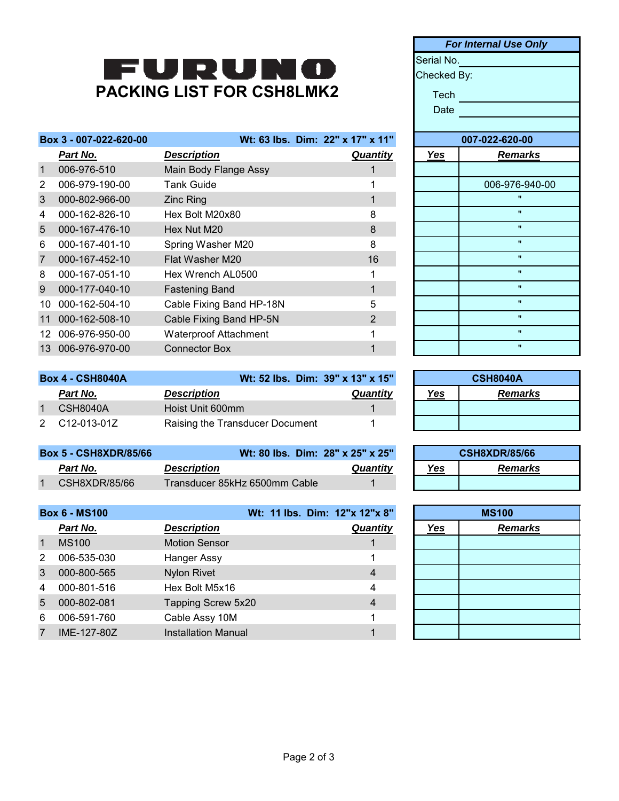## FURUNO **PACKING LIST FOR CSH8LMK2**

|                | Box 3 - 007-022-620-00 |                          | Wt: 63 lbs. Dim: 22" x 17" x 11" |            | 007-022-620- |
|----------------|------------------------|--------------------------|----------------------------------|------------|--------------|
|                | Part No.               | <b>Description</b>       | <b>Quantity</b>                  | <b>Yes</b> | Rem          |
| $\mathbf{1}$   | 006-976-510            | Main Body Flange Assy    |                                  |            |              |
| 2              | 006-979-190-00         | <b>Tank Guide</b>        |                                  |            | 006-976      |
| 3              | 000-802-966-00         | <b>Zinc Ring</b>         |                                  |            | π            |
| 4              | 000-162-826-10         | Hex Bolt M20x80          | 8                                |            |              |
| 5              | 000-167-476-10         | Hex Nut M20              | 8                                |            | π            |
| 6              | 000-167-401-10         | Spring Washer M20        | 8                                |            | π            |
| $\overline{7}$ | 000-167-452-10         | Flat Washer M20          | 16                               |            | π            |
| 8              | 000-167-051-10         | Hex Wrench AL0500        |                                  |            | π            |
| 9              | 000-177-040-10         | <b>Fastening Band</b>    | 1                                |            |              |
| 10             | 000-162-504-10         | Cable Fixing Band HP-18N | 5                                |            |              |
| 11             | 000-162-508-10         | Cable Fixing Band HP-5N  | $\overline{2}$                   |            |              |
| 12.            | 006-976-950-00         | Waterproof Attachment    |                                  |            |              |
| 13             | 006-976-970-00         | <b>Connector Box</b>     |                                  |            |              |
|                |                        |                          |                                  |            |              |

| <b>Box 4 - CSH8040A</b> |               | Wt: 52 lbs. Dim: 39" x 13" x 15" |                 | <b>CSH8040A</b> |                |
|-------------------------|---------------|----------------------------------|-----------------|-----------------|----------------|
|                         | Part No.      | <b>Description</b>               | <b>Quantity</b> | Yes             | <b>Remarks</b> |
|                         | CSH8040A      | Hoist Unit 600mm                 |                 |                 |                |
|                         | 2 C12-013-01Z | Raising the Transducer Document  |                 |                 |                |

| <b>Box 5 - CSH8XDR/85/66</b> | Wt: 80 lbs. Dim: 28" x 25" x 25" |          |     | <b>CSH8XDR/85/66</b> |
|------------------------------|----------------------------------|----------|-----|----------------------|
| Part No.                     | <b>Description</b>               | Quantitv | Yes | Remarks              |
| CSH8XDR/85/66                | Transducer 85kHz 6500mm Cable l  |          |     |                      |

|                | <b>Box 6 - MS100</b> |                            | Wt: 11 lbs. Dim: 12"x 12"x 8" |            | <b>MS100</b>   |
|----------------|----------------------|----------------------------|-------------------------------|------------|----------------|
|                | Part No.             | <b>Description</b>         | Quantity                      | <u>Yes</u> | <b>Remarks</b> |
| $\overline{1}$ | <b>MS100</b>         | <b>Motion Sensor</b>       |                               |            |                |
| 2              | 006-535-030          | Hanger Assy                |                               |            |                |
| 3              | 000-800-565          | <b>Nylon Rivet</b>         | 4                             |            |                |
| 4              | 000-801-516          | Hex Bolt M5x16             | 4                             |            |                |
| 5              | 000-802-081          | Tapping Screw 5x20         | 4                             |            |                |
| 6              | 006-591-760          | Cable Assy 10M             |                               |            |                |
| 7              | IME-127-80Z          | <b>Installation Manual</b> |                               |            |                |

Serial No. Checked By: Tech **Contract Contract Contract Contract** Date *Part No. Description Quantity Yes Remarks* 006-976-940-00 **007-022-620-00** *For Internal Use Only*

| <b>CSH8040A</b>       |  |  |  |  |  |
|-----------------------|--|--|--|--|--|
| Yes<br><b>Remarks</b> |  |  |  |  |  |
|                       |  |  |  |  |  |
|                       |  |  |  |  |  |

| <b>CSH8XDR/85/66</b>  |  |  |  |  |
|-----------------------|--|--|--|--|
| <b>Remarks</b><br>Yes |  |  |  |  |
|                       |  |  |  |  |

|     | <b>MS100</b>   |  |  |  |  |
|-----|----------------|--|--|--|--|
| Yes | <b>Remarks</b> |  |  |  |  |
|     |                |  |  |  |  |
|     |                |  |  |  |  |
|     |                |  |  |  |  |
|     |                |  |  |  |  |
|     |                |  |  |  |  |
|     |                |  |  |  |  |
|     |                |  |  |  |  |